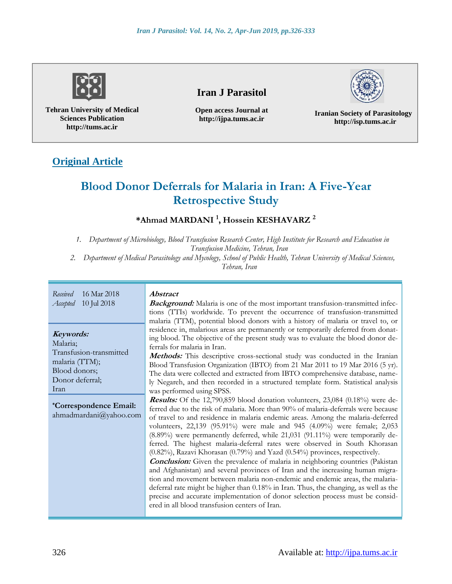

**Tehran University of Medical Sciences Publication http://tums.ac.ir**

# **Iran J Parasitol**

**Open access Journal at http://ijpa.tums.ac.ir**

**Iranian Society of Parasitology http://isp.tums.ac.ir**

# **Original Article**

# **Blood Donor Deferrals for Malaria in Iran: A Five-Year Retrospective Study**

## **\*Ahmad MARDANI <sup>1</sup> , Hossein KESHAVARZ <sup>2</sup>**

*1. Department of Microbiology, Blood Transfusion Research Center, High Institute for Research and Education in Transfusion Medicine, Tehran, Iran*

*2. Department of Medical Parasitology and Mycology, School of Public Health, Tehran University of Medical Sciences, Tehran, Iran*

| 16 Mar 2018                                                                                                                                                               | <i><b>Abstract</b></i>                                                                                                                                                                                                                                                                                                                                                                                                                                                                                                                                                                                                                                                                                                                                                                                                                                                                                                                                                                                                                                                                                                                                                                                                                                                                                                                                                                                                                                                                                                                                                                                                                                       |
|---------------------------------------------------------------------------------------------------------------------------------------------------------------------------|--------------------------------------------------------------------------------------------------------------------------------------------------------------------------------------------------------------------------------------------------------------------------------------------------------------------------------------------------------------------------------------------------------------------------------------------------------------------------------------------------------------------------------------------------------------------------------------------------------------------------------------------------------------------------------------------------------------------------------------------------------------------------------------------------------------------------------------------------------------------------------------------------------------------------------------------------------------------------------------------------------------------------------------------------------------------------------------------------------------------------------------------------------------------------------------------------------------------------------------------------------------------------------------------------------------------------------------------------------------------------------------------------------------------------------------------------------------------------------------------------------------------------------------------------------------------------------------------------------------------------------------------------------------|
| Received                                                                                                                                                                  | <b>Background:</b> Malaria is one of the most important transfusion-transmitted infec-                                                                                                                                                                                                                                                                                                                                                                                                                                                                                                                                                                                                                                                                                                                                                                                                                                                                                                                                                                                                                                                                                                                                                                                                                                                                                                                                                                                                                                                                                                                                                                       |
| 10 Jul 2018                                                                                                                                                               | tions (TTIs) worldwide. To prevent the occurrence of transfusion-transmitted                                                                                                                                                                                                                                                                                                                                                                                                                                                                                                                                                                                                                                                                                                                                                                                                                                                                                                                                                                                                                                                                                                                                                                                                                                                                                                                                                                                                                                                                                                                                                                                 |
| Accepted                                                                                                                                                                  | malaria (TTM), potential blood donors with a history of malaria or travel to, or                                                                                                                                                                                                                                                                                                                                                                                                                                                                                                                                                                                                                                                                                                                                                                                                                                                                                                                                                                                                                                                                                                                                                                                                                                                                                                                                                                                                                                                                                                                                                                             |
| Keywords:<br>Malaria;<br>Transfusion-transmitted<br>malaria (TTM);<br>Blood donors;<br>Donor deferral;<br>Iran<br><i>*Correspondence Email:</i><br>ahmadmardani@yahoo.com | residence in, malarious areas are permanently or temporarily deferred from donat-<br>ing blood. The objective of the present study was to evaluate the blood donor de-<br>ferrals for malaria in Iran.<br>Methods: This descriptive cross-sectional study was conducted in the Iranian<br>Blood Transfusion Organization (IBTO) from 21 Mar 2011 to 19 Mar 2016 (5 yr).<br>The data were collected and extracted from IBTO comprehensive database, name-<br>ly Negareh, and then recorded in a structured template form. Statistical analysis<br>was performed using SPSS.<br><b>Results:</b> Of the 12,790,859 blood donation volunteers, 23,084 (0.18%) were de-<br>ferred due to the risk of malaria. More than 90% of malaria-deferrals were because<br>of travel to and residence in malaria endemic areas. Among the malaria-deferred<br>volunteers, 22,139 (95.91%) were male and 945 (4.09%) were female; 2,053<br>(8.89%) were permanently deferred, while 21,031 (91.11%) were temporarily de-<br>ferred. The highest malaria-deferral rates were observed in South Khorasan<br>(0.82%), Razavi Khorasan (0.79%) and Yazd (0.54%) provinces, respectively.<br><b>Conclusion:</b> Given the prevalence of malaria in neighboring countries (Pakistan<br>and Afghanistan) and several provinces of Iran and the increasing human migra-<br>tion and movement between malaria non-endemic and endemic areas, the malaria-<br>deferral rate might be higher than 0.18% in Iran. Thus, the changing, as well as the<br>precise and accurate implementation of donor selection process must be consid-<br>ered in all blood transfusion centers of Iran. |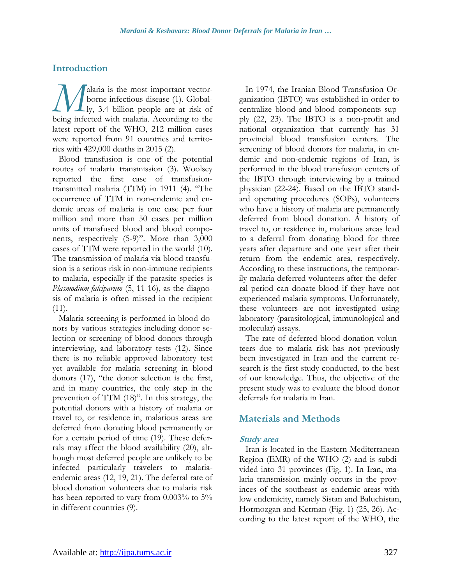# **Introduction**

alaria is the most important vectorborne infectious disease (1). Global- $\bigcup$ ly, 3.4 billion people are at risk of **b**eing is the most important vector-<br>borne infectious disease (1). Global-<br>being infected with malaria. According to the latest report of the WHO, 212 million cases were reported from 91 countries and territories with 429,000 deaths in 2015 (2).

Blood transfusion is one of the potential routes of malaria transmission (3). Woolsey reported the first case of transfusiontransmitted malaria (TTM) in 1911 (4). "The occurrence of TTM in non-endemic and endemic areas of malaria is one case per four million and more than 50 cases per million units of transfused blood and blood components, respectively (5-9)". More than 3,000 cases of TTM were reported in the world (10). The transmission of malaria via blood transfusion is a serious risk in non-immune recipients to malaria, especially if the parasite species is *Plasmodium falciparum* (5, 11-16), as the diagnosis of malaria is often missed in the recipient  $(11).$ 

Malaria screening is performed in blood donors by various strategies including donor selection or screening of blood donors through interviewing, and laboratory tests (12). Since there is no reliable approved laboratory test yet available for malaria screening in blood donors (17), "the donor selection is the first, and in many countries, the only step in the prevention of TTM (18)". In this strategy, the potential donors with a history of malaria or travel to, or residence in, malarious areas are deferred from donating blood permanently or for a certain period of time (19). These deferrals may affect the blood availability (20), although most deferred people are unlikely to be infected particularly travelers to malariaendemic areas (12, 19, 21). The deferral rate of blood donation volunteers due to malaria risk has been reported to vary from 0.003% to 5% in different countries (9).

In 1974, the Iranian Blood Transfusion Organization (IBTO) was established in order to centralize blood and blood components supply (22, 23). The IBTO is a non-profit and national organization that currently has 31 provincial blood transfusion centers. The screening of blood donors for malaria, in endemic and non-endemic regions of Iran, is performed in the blood transfusion centers of the IBTO through interviewing by a trained physician (22-24). Based on the IBTO standard operating procedures (SOPs), volunteers who have a history of malaria are permanently deferred from blood donation. A history of travel to, or residence in, malarious areas lead to a deferral from donating blood for three years after departure and one year after their return from the endemic area, respectively. According to these instructions, the temporarily malaria-deferred volunteers after the deferral period can donate blood if they have not experienced malaria symptoms. Unfortunately, these volunteers are not investigated using laboratory (parasitological, immunological and molecular) assays.

The rate of deferred blood donation volunteers due to malaria risk has not previously been investigated in Iran and the current research is the first study conducted, to the best of our knowledge. Thus, the objective of the present study was to evaluate the blood donor deferrals for malaria in Iran.

# **Materials and Methods**

#### **Study area**

Iran is located in the Eastern Mediterranean Region (EMR) of the WHO (2) and is subdivided into 31 [provinces](https://en.wikipedia.org/wiki/Province) (Fig. 1). In Iran, malaria transmission mainly occurs in the provinces of the southeast as endemic areas with low endemicity, namely Sistan and Baluchistan, Hormozgan and Kerman (Fig. 1) (25, 26). According to the latest report of the WHO, the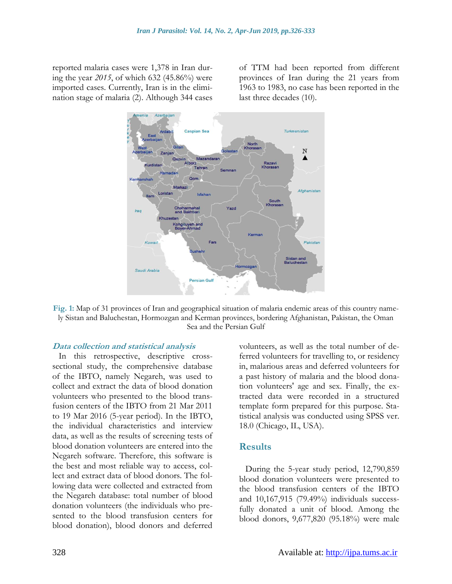reported malaria cases were 1,378 in Iran during the year *2015*, of which 632 (45.86%) were imported cases. Currently, Iran is in the elimination stage of malaria (2). Although 344 cases of TTM had been reported from different provinces of Iran during the 21 years from 1963 to 1983, no case has been reported in the last three decades (10).



**Fig. 1:** Map of 31 provinces of Iran and geographical situation of malaria endemic areas of this country namely Sistan and Baluchestan, Hormozgan and Kerman provinces, bordering Afghanistan, Pakistan, the Oman Sea and the Persian Gulf

#### **Data collection and statistical analysis**

In this retrospective, descriptive crosssectional study, the comprehensive database of the IBTO, namely Negareh, was used to collect and extract the data of blood donation volunteers who presented to the blood transfusion centers of the IBTO from 21 Mar 2011 to 19 Mar 2016 (5-year period). In the IBTO, the individual characteristics and interview data, as well as the results of screening tests of blood donation volunteers are entered into the Negareh software. Therefore, this software is the best and most reliable way to access, collect and extract data of blood donors. The following data were collected and extracted from the Negareh database: total number of blood donation volunteers (the individuals who presented to the blood transfusion centers for blood donation), blood donors and deferred

volunteers, as well as the total number of deferred volunteers for travelling to, or residency in, malarious areas and deferred volunteers for a past history of malaria and the blood donation volunteers' age and sex. Finally, the extracted data were recorded in a structured template form prepared for this purpose. Statistical analysis was conducted using SPSS ver. 18.0 (Chicago, IL, USA).

#### **Results**

During the 5-year study period, 12,790,859 blood donation volunteers were presented to the blood transfusion centers of the IBTO and 10,167,915 (79.49%) individuals successfully donated a unit of blood. Among the blood donors, 9,677,820 (95.18%) were male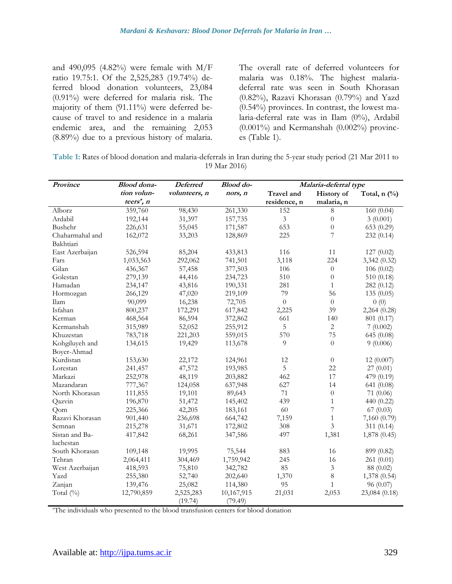and 490,095 (4.82%) were female with  $M/F$ ratio 19.75:1. Of the 2,525,283 (19.74%) deferred blood donation volunteers, 23,084 (0.91%) were deferred for malaria risk. The majority of them (91.11%) were deferred because of travel to and residence in a malaria endemic area, and the remaining 2,053 (8.89%) due to a previous history of malaria.

The overall rate of deferred volunteers for malaria was 0.18%. The highest malariadeferral rate was seen in South Khorasan (0.82%), Razavi Khorasan (0.79%) and Yazd (0.54%) provinces. In contrast, the lowest malaria-deferral rate was in Ilam (0%), Ardabil (0.001%) and Kermanshah (0.002%) provinces (Table 1).

| Table 1: Rates of blood donation and malaria-deferrals in Iran during the 5-year study period (21 Mar 2011 to |
|---------------------------------------------------------------------------------------------------------------|
| 19 Mar 2016)                                                                                                  |

| Province        | <b>Blood</b> dona-     | <b>Deferred</b> | <b>Blood</b> do- | Malaria-deferral type |                  |                |
|-----------------|------------------------|-----------------|------------------|-----------------------|------------------|----------------|
|                 | tion volun-            | volunteers, n   | nors, n          | Travel and            | History of       | Total, $n$ (%) |
|                 | teers <sup>*</sup> , n |                 |                  | residence, n          | malaria, n       |                |
| Alborz          | 359,760                | 98,430          | 261,330          | 152                   | 8                | 160 (0.04)     |
| Ardabil         | 192,144                | 31,397          | 157,735          | 3                     | $\boldsymbol{0}$ | 3(0.001)       |
| Bushehr         | 226,631                | 55,045          | 171,587          | 653                   | $\theta$         | 653 (0.29)     |
| Chaharmahal and | 162,072                | 33,203          | 128,869          | 225                   | 7                | 232 (0.14)     |
| Bakhtiari       |                        |                 |                  |                       |                  |                |
| East Azerbaijan | 526,594                | 85,204          | 433,813          | 116                   | 11               | 127(0.02)      |
| Fars            | 1,033,563              | 292,062         | 741,501          | 3,118                 | 224              | 3,342 (0.32)   |
| Gilan           | 436,367                | 57,458          | 377,503          | 106                   | $\theta$         | 106(0.02)      |
| Golestan        | 279,139                | 44,416          | 234,723          | 510                   | $\boldsymbol{0}$ | 510 (0.18)     |
| Hamadan         | 234,147                | 43,816          | 190,331          | 281                   | $\mathbf{1}$     | 282 (0.12)     |
| Hormozgan       | 266,129                | 47,020          | 219,109          | 79                    | 56               | 135(0.05)      |
| Ilam            | 90,099                 | 16,238          | 72,705           | $\overline{0}$        | $\overline{0}$   | 0(0)           |
| Isfahan         | 800,237                | 172,291         | 617,842          | 2,225                 | 39               | 2,264 (0.28)   |
| Kerman          | 468,564                | 86,594          | 372,862          | 661                   | 140              | 801 (0.17)     |
| Kermanshah      | 315,989                | 52,052          | 255,912          | 5                     | $\overline{c}$   | 7(0.002)       |
| Khuzestan       | 783,718                | 221,203         | 559,015          | 570                   | 75               | 645 (0.08)     |
| Kohgiluyeh and  | 134,615                | 19,429          | 113,678          | 9                     | $\boldsymbol{0}$ | 9(0.006)       |
| Boyer-Ahmad     |                        |                 |                  |                       |                  |                |
| Kurdistan       | 153,630                | 22,172          | 124,961          | 12                    | $\boldsymbol{0}$ | 12(0.007)      |
| Lorestan        | 241,457                | 47,572          | 193,985          | 5                     | 22               | 27(0.01)       |
| Markazi         | 252,978                | 48,119          | 203,882          | 462                   | 17               | 479 (0.19)     |
| Mazandaran      | 777,367                | 124,058         | 637,948          | 627                   | 14               | 641 (0.08)     |
| North Khorasan  | 111,855                | 19,101          | 89,643           | 71                    | $\overline{0}$   | 71(0.06)       |
| Qazvin          | 196,870                | 51,472          | 145,402          | 439                   | $\mathbf{1}$     | 440 (0.22)     |
| Qom             | 225,366                | 42,205          | 183,161          | 60                    | 7                | 67(0.03)       |
| Razavi Khorasan | 901,440                | 236,698         | 664,742          | 7,159                 | $\mathbf{1}$     | 7,160 (0.79)   |
| Semnan          | 215,278                | 31,671          | 172,802          | 308                   | 3                | 311 (0.14)     |
| Sistan and Ba-  | 417,842                | 68,261          | 347,586          | 497                   | 1,381            | 1,878 (0.45)   |
| luchestan       |                        |                 |                  |                       |                  |                |
| South Khorasan  | 109,148                | 19,995          | 75,544           | 883                   | 16               | 899 (0.82)     |
| Tehran          | 2,064,411              | 304,469         | 1,759,942        | 245                   | 16               | 261(0.01)      |
| West Azerbaijan | 418,593                | 75,810          | 342,782          | 85                    | 3                | 88 (0.02)      |
| Yazd            | 255,380                | 52,740          | 202,640          | 1,370                 | $\,8\,$          | 1,378 (0.54)   |
| Zanjan          | 139,476                | 25,082          | 114,380          | 95                    | $\mathbf{1}$     | 96(0.07)       |
| Total $(\%)$    | 12,790,859             | 2,525,283       | 10,167,915       | 21,031                | 2,053            | 23,084 (0.18)  |
|                 |                        | (19.74)         | (79.49)          |                       |                  |                |

\*The individuals who presented to the blood transfusion centers for blood donation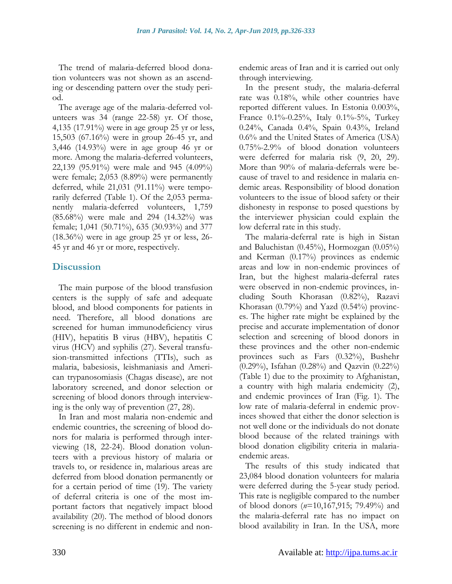The trend of malaria-deferred blood donation volunteers was not shown as an ascending or descending pattern over the study period.

The average age of the malaria-deferred volunteers was 34 (range 22-58) yr. Of those, 4,135 (17.91%) were in age group 25 yr or less, 15,503 (67.16%) were in group 26-45 yr, and 3,446 (14.93%) were in age group 46 yr or more. Among the malaria-deferred volunteers, 22,139 (95.91%) were male and 945 (4.09%) were female; 2,053 (8.89%) were permanently deferred, while 21,031 (91.11%) were temporarily deferred (Table 1). Of the 2,053 permanently malaria-deferred volunteers, 1,759 (85.68%) were male and 294 (14.32%) was female; 1,041 (50.71%), 635 (30.93%) and 377 (18.36%) were in age group 25 yr or less, 26- 45 yr and 46 yr or more, respectively.

# **Discussion**

The main purpose of the blood transfusion centers is the supply of safe and adequate blood, and blood components for patients in need. Therefore, all blood donations are screened for human immunodeficiency virus (HIV), hepatitis B virus (HBV), hepatitis C virus (HCV) and syphilis (27). Several transfusion-transmitted infections (TTIs), such as malaria, babesiosis, leishmaniasis and American trypanosomiasis (Chagas disease), are not laboratory screened, and donor selection or screening of blood donors through interviewing is the only way of prevention (27, 28).

In Iran and most malaria non-endemic and endemic countries, the screening of blood donors for malaria is performed through interviewing (18, 22-24). Blood donation volunteers with a previous history of malaria or travels to, or residence in, malarious areas are deferred from blood donation permanently or for a certain period of time (19). The variety of deferral criteria is one of the most important factors that negatively impact blood availability (20). The method of blood donors screening is no different in endemic and nonendemic areas of Iran and it is carried out only through interviewing.

In the present study, the malaria-deferral rate was 0.18%, while other countries have reported different values. In Estonia 0.003%, France 0.1%-0.25%, Italy 0.1%-5%, Turkey 0.24%, Canada 0.4%, Spain 0.43%, Ireland 0.6% and the United States of America (USA) 0.75%-2.9% of blood donation volunteers were deferred for malaria risk (9, 20, 29). More than 90% of malaria-deferrals were because of travel to and residence in malaria endemic areas. Responsibility of blood donation volunteers to the issue of blood safety or their dishonesty in response to posed questions by the interviewer physician could explain the low deferral rate in this study.

The malaria-deferral rate is high in Sistan and Baluchistan (0.45%), Hormozgan (0.05%) and Kerman (0.17%) provinces as endemic areas and low in non-endemic provinces of Iran, but the highest malaria-deferral rates were observed in non-endemic provinces, including South Khorasan (0.82%), Razavi Khorasan (0.79%) and Yazd (0.54%) provinces. The higher rate might be explained by the precise and accurate implementation of donor selection and screening of blood donors in these provinces and the other non-endemic provinces such as Fars (0.32%), Bushehr (0.29%), Isfahan (0.28%) and Qazvin (0.22%) (Table 1) due to the proximity to Afghanistan, a country with high malaria endemicity (2), and endemic provinces of Iran (Fig. 1). The low rate of malaria-deferral in endemic provinces showed that either the donor selection is not well done or the individuals do not donate blood because of the related trainings with blood donation eligibility criteria in malariaendemic areas.

The results of this study indicated that 23,084 blood donation volunteers for malaria were deferred during the 5-year study period. This rate is negligible compared to the number of blood donors (*n*=10,167,915; 79.49%) and the malaria-deferral rate has no impact on blood availability in Iran. In the USA, more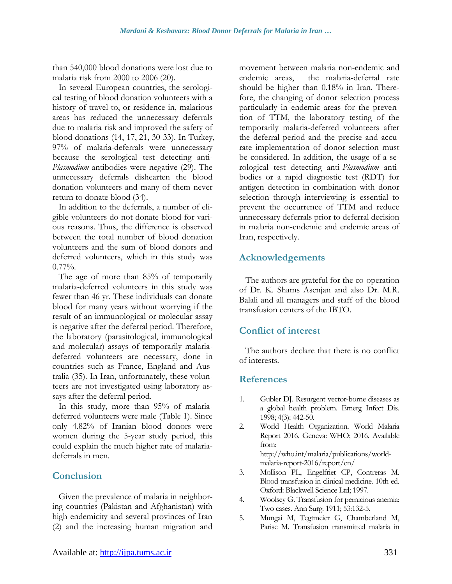than 540,000 blood donations were lost due to malaria risk from 2000 to 2006 (20).

In several European countries, the serological testing of blood donation volunteers with a history of travel to, or residence in, malarious areas has reduced the unnecessary deferrals due to malaria risk and improved the safety of blood donations (14, 17, 21, 30-33). In Turkey, 97% of malaria-deferrals were unnecessary because the serological test detecting anti-*Plasmodium* antibodies were negative (29). The unnecessary deferrals dishearten the blood donation volunteers and many of them never return to donate blood (34).

In addition to the deferrals, a number of eligible volunteers do not donate blood for various reasons. Thus, the difference is observed between the total number of blood donation volunteers and the sum of blood donors and deferred volunteers, which in this study was  $0.77\%$ .

The age of more than 85% of temporarily malaria-deferred volunteers in this study was fewer than 46 yr. These individuals can donate blood for many years without worrying if the result of an immunological or molecular assay is negative after the deferral period. Therefore, the laboratory (parasitological, immunological and molecular) assays of temporarily malariadeferred volunteers are necessary, done in countries such as France, England and Australia (35). In Iran, unfortunately, these volunteers are not investigated using laboratory assays after the deferral period.

In this study, more than 95% of malariadeferred volunteers were male (Table 1). Since only 4.82% of Iranian blood donors were women during the 5-year study period, this could explain the much higher rate of malariadeferrals in men.

## **Conclusion**

Given the prevalence of malaria in neighboring countries (Pakistan and Afghanistan) with high endemicity and several provinces of Iran (2) and the increasing human migration and movement between malaria non-endemic and endemic areas, the malaria-deferral rate should be higher than 0.18% in Iran. Therefore, the changing of donor selection process particularly in endemic areas for the prevention of TTM, the laboratory testing of the temporarily malaria-deferred volunteers after the deferral period and the precise and accurate implementation of donor selection must be considered. In addition, the usage of a serological test detecting anti-*Plasmodium* antibodies or a rapid diagnostic test (RDT) for antigen detection in combination with donor selection through interviewing is essential to prevent the occurrence of TTM and reduce unnecessary deferrals prior to deferral decision in malaria non-endemic and endemic areas of Iran, respectively.

# **Acknowledgements**

The authors are grateful for the co-operation of Dr. K. Shams Asenjan and also Dr. M.R. Balali and all managers and staff of the blood transfusion centers of the IBTO.

## **Conflict of interest**

The authors declare that there is no conflict of interests.

## **References**

- 1. [Gubler](https://www.ncbi.nlm.nih.gov/pubmed/?term=Gubler%20DJ%5BAuthor%5D&cauthor=true&cauthor_uid=9716967) DJ. Resurgent vector-borne diseases as a global health problem. [Emerg Infect Dis.](https://www.ncbi.nlm.nih.gov/pmc/articles/PMC2640300/) 1998; 4(3): 442-50.
- 2. World Health Organization. World Malaria Report 2016. Geneva: WHO; 2016. Available from: [http://who.int/malaria/publications/world](http://who.int/malaria/publications/world-malaria-report-2016/report/en/)[malaria-report-2016/report/en/](http://who.int/malaria/publications/world-malaria-report-2016/report/en/)
- 3. Mollison PL, Engelfriet CP, Contreras M. Blood transfusion in clinical medicine. 10th ed. Oxford: Blackwell Science Ltd; 1997.
- 4. Woolsey G. Transfusion for pernicious anemia: Two cases. Ann Surg. 1911; 53:132-5.
- 5. Mungai M, Tegtmeier G, Chamberland M, Parise M. Transfusion transmitted malaria in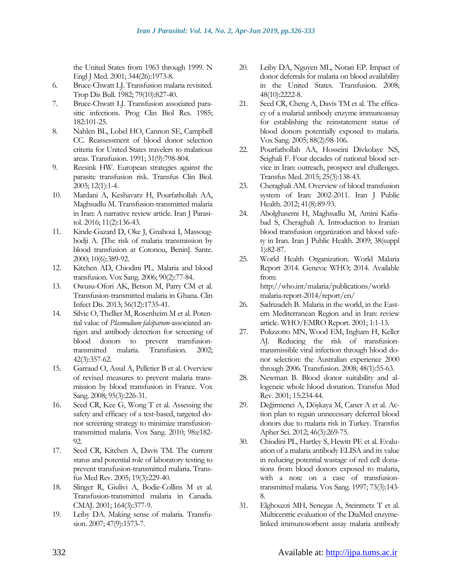the United States from 1963 through 1999. N Engl J Med. 2001; 344(26):1973-8.

- 6. Bruce-Chwatt LJ. Transfusion malaria revisited. Trop Dis Bull. 1982; 79(10):827-40.
- 7. Bruce-Chwatt LJ. Transfusion associated parasitic infections. Prog Clin Biol Res. 1985; 182:101-25.
- 8. Nahlen BL, Lobel HO, Cannon SE, Campbell CC. Reassessment of blood donor selection criteria for United States travelers to malarious areas. Transfusion. 1991; 31(9):798-804.
- 9. Reesink HW. European strategies against the parasite transfusion risk. Transfus Clin Biol. 2005; 12(1):1-4.
- 10. Mardani A, Keshavarz H, Pourfathollah AA, Maghsudlu M. Transfusion-transmitted malaria in Iran: A narrative review article. Iran J Parasitol. 2016; 11(2):136-43.
- 11. [Kinde-Gazard](https://www.ncbi.nlm.nih.gov/pubmed/?term=Kinde-Gazard%5BAuthor%5D&cauthor=true&cauthor_uid=11226934) D, [Oke J,](https://www.ncbi.nlm.nih.gov/pubmed/?term=Oke%20J%5BAuthor%5D&cauthor=true&cauthor_uid=11226934) [Gnahoui I,](https://www.ncbi.nlm.nih.gov/pubmed/?term=Gnahoui%20I%5BAuthor%5D&cauthor=true&cauthor_uid=11226934) [Massoug](https://www.ncbi.nlm.nih.gov/pubmed/?term=Massougbodji%20A%5BAuthor%5D&cauthor=true&cauthor_uid=11226934)[bodji A.](https://www.ncbi.nlm.nih.gov/pubmed/?term=Massougbodji%20A%5BAuthor%5D&cauthor=true&cauthor_uid=11226934) [The risk of malaria transmission by blood transfusion at Cotonou, Benin]. [Sante.](https://www.ncbi.nlm.nih.gov/pubmed/11226934) 2000; 10(6):389-92.
- 12. Kitchen AD, Chiodini PL. Malaria and blood transfusion. Vox Sang. 2006; 90(2):77-84.
- 13. Owusu-Ofori AK, Betson M, Parry CM et al. Transfusion-transmitted malaria in Ghana. Clin Infect Dis. 2013; 56(12):1735-41.
- 14. Silvie O, Thellier M, Rosenheim M et al. Potential value of *Plasmodium falciparum*-associated antigen and antibody detection for screening of blood donors to prevent transfusiontransmitted malaria. Transfusion. 2002; 42(3):357-62.
- 15. Garraud O, Assal A, Pelletier B et al. Overview of revised measures to prevent malaria transmission by blood transfusion in France. Vox Sang. 2008; 95(3):226-31.
- 16. Seed CR, Kee G, Wong T et al. Assessing the safety and efficacy of a test-based, targeted donor screening strategy to minimize transfusiontransmitted malaria. Vox Sang. 2010; 98:e182- 92.
- 17. Seed CR, Kitchen A, Davis TM. The current status and potential role of laboratory testing to prevent transfusion-transmitted malaria. Transfus Med Rev. 2005; 19(3):229-40.
- 18. Slinger R, Giulivi A, Bodie-Collins M et al. Transfusion-transmitted malaria in Canada. CMAJ. 2001; 164(3):377-9.
- 19. Leiby DA. Making sense of malaria. Transfusion. 2007; 47(9):1573-7.
- 20. Leiby DA, Nguyen ML, Notari EP. Impact of donor deferrals for malaria on blood availability in the United States. Transfusion. 2008; 48(10):2222-8.
- 21. Seed CR, Cheng A, Davis TM et al. The efficacy of a malarial antibody enzyme immunoassay for establishing the reinstatement status of blood donors potentially exposed to malaria. Vox Sang. 2005; 88(2):98-106.
- 22. Pourfathollah AA, Hosseini Divkolaye NS, Seighali F. Four decades of national blood service in Iran: outreach, prospect and challenges. Transfus Med. 2015; 25(3):138-43.
- 23. Cheraghali AM. Overview of blood transfusion system of Iran: 2002-2011. Iran J Public Health. 2012; 41(8):89-93.
- 24. Abolghasemi H, Maghsudlu M, Amini Kafiabad S, Cheraghali A. Introduction to Iranian blood transfusion organization and blood safety in Iran. Iran J Public Health. 2009; 38(suppl 1):82-87.
- 25. World Health Organization. World Malaria Report 2014. Geneva: WHO; 2014. Available from: [http://who.int/malaria/publications/world-](http://who.int/malaria/publications/world-malaria-report-2014/report/en/)

[malaria-report-2014/report/en/](http://who.int/malaria/publications/world-malaria-report-2014/report/en/)

- 26. Sadrizadeh B. Malaria in the world, in the Eastern Mediterranean Region and in Iran: review article. WHO/EMRO Report. 2001; 1:1-13.
- 27. Polizzotto MN, Wood EM, Ingham H, Keller AJ. Reducing the risk of transfusiontransmissible viral infection through blood donor selection: the Australian experience 2000 through 2006. Transfusion. 2008; 48(1):55-63.
- 28. Newman B. Blood donor suitability and allogeneic whole blood donation. Transfus Med Rev. 2001; 15:234-44.
- 29. [Değirmenci A](https://www.ncbi.nlm.nih.gov/pubmed/?term=De%C4%9Firmenci%20A%5BAuthor%5D&cauthor=true&cauthor_uid=22464796), [Döşkaya M](https://www.ncbi.nlm.nih.gov/pubmed/?term=D%C3%B6%C5%9Fkaya%20M%5BAuthor%5D&cauthor=true&cauthor_uid=22464796), [Caner A](https://www.ncbi.nlm.nih.gov/pubmed/?term=Caner%20A%5BAuthor%5D&cauthor=true&cauthor_uid=22464796) et al. Action plan to regain unnecessary deferred blood donors due to malaria risk in Turkey. [Transfus](https://www.ncbi.nlm.nih.gov/pubmed/22464796)  [Apher Sci.](https://www.ncbi.nlm.nih.gov/pubmed/22464796) 2012; 46(3):269-75.
- 30. Chiodini PL, Hartley S, Hewitt PE et al. Evaluation of a malaria antibody ELISA and its value in reducing potential wastage of red cell donations from blood donors exposed to malaria, with a note on a case of transfusiontransmitted malaria. Vox Sang. 1997; 73(3):143- 8.
- 31. Elghouzzi MH, Senegas A, Steinmetz T et al. Multicentric evaluation of the DiaMed enzymelinked immunosorbent assay malaria antibody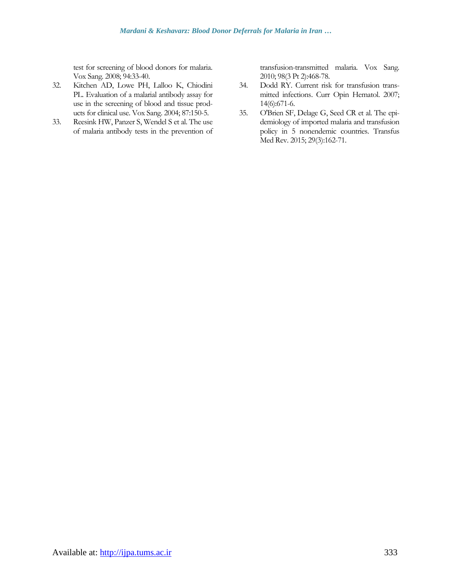test for screening of blood donors for malaria. Vox Sang. 2008; 94:33-40.

- 32. Kitchen AD, Lowe PH, Lalloo K, Chiodini PL. Evaluation of a malarial antibody assay for use in the screening of blood and tissue products for clinical use. Vox Sang. 2004; 87:150-5.
- 33. Reesink HW, Panzer S, Wendel S et al. The use of malaria antibody tests in the prevention of

transfusion-transmitted malaria. Vox Sang. 2010; 98(3 Pt 2):468-78.

- 34. Dodd RY. Current risk for transfusion transmitted infections. Curr Opin Hematol. 2007; 14(6):671-6.
- 35. [O'Brien SF,](https://www.ncbi.nlm.nih.gov/pubmed/?term=O%27Brien%20SF%5BAuthor%5D&cauthor=true&cauthor_uid=25933591) [Delage G,](https://www.ncbi.nlm.nih.gov/pubmed/?term=Delage%20G%5BAuthor%5D&cauthor=true&cauthor_uid=25933591) [Seed CR](https://www.ncbi.nlm.nih.gov/pubmed/?term=Seed%20CR%5BAuthor%5D&cauthor=true&cauthor_uid=25933591) et al. The epidemiology of imported malaria and transfusion policy in 5 nonendemic countries. [Transfus](https://www.ncbi.nlm.nih.gov/pubmed/25933591)  [Med Rev.](https://www.ncbi.nlm.nih.gov/pubmed/25933591) 2015; 29(3):162-71.